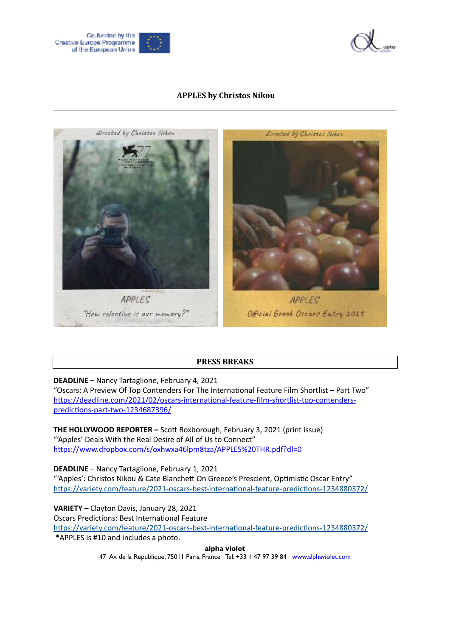



### **APPLES by Christos Nikou**



## **PRESS BREAKS**

**DEADLINE –** Nancy Tartaglione, February 4, 2021

"Oscars: A Preview Of Top Contenders For The International Feature Film Shortlist – Part Two" [https://deadline.com/2021/02/oscars-international-feature-film-shortlist-top-contenders](https://deadline.com/2021/02/oscars-international-feature-film-shortlist-top-contenders-predictions-part-two-1234687396/)[predictions-part-two-1234687396/](https://deadline.com/2021/02/oscars-international-feature-film-shortlist-top-contenders-predictions-part-two-1234687396/)

**THE HOLLYWOOD REPORTER –** Scott Roxborough, February 3, 2021 (print issue) "'Apples' Deals With the Real Desire of All of Us to Connect" [https://www.dropbox.com/s/oxhwxa46lpm8tza/APPLES%20THR.pdf?dl=0](https://www.dropbox.com/s/oxhwxa46lpm8tza/APPLES%2520THR.pdf?dl=0)

**DEADLINE** – Nancy Tartaglione, February 1, 2021 "'Apples': Christos Nikou & Cate Blanchett On Greece's Prescient, Optimistic Oscar Entry" <https://variety.com/feature/2021-oscars-best-international-feature-predictions-1234880372/>

**VARIETY** – Clayton Davis, January 28, 2021 Oscars Predictions: Best International Feature <https://variety.com/feature/2021-oscars-best-international-feature-predictions-1234880372/> \*APPLES is #10 and includes a photo.

**alpha violet**

47 Av. de la Republique, 75011 Paris, France Tel: +33 1 47 97 39 84 [www.alphaviolet.com](http://www.alphaviolet.com)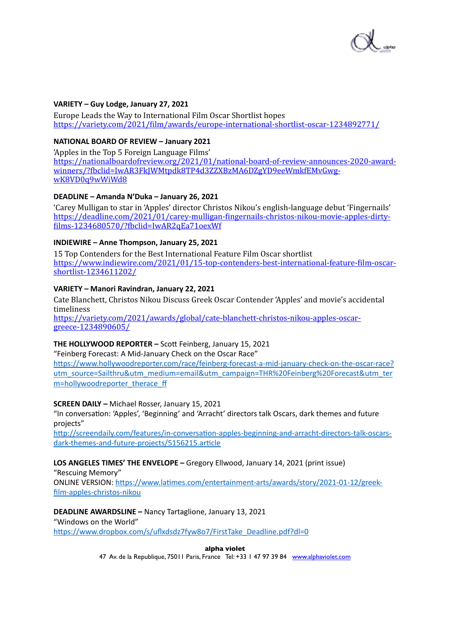

#### **VARIETY – Guy Lodge, January 27, 2021**

Europe Leads the Way to International Film Oscar Shortlist hopes <https://variety.com/2021/film/awards/europe-international-shortlist-oscar-1234892771/>

#### **NATIONAL BOARD OF REVIEW – January 2021**

'Apples in the Top 5 Foreign Language Films' [https://nationalboardofreview.org/2021/01/national-board-of-review-announces-2020-award](https://nationalboardofreview.org/2021/01/national-board-of-review-announces-2020-award-winners/?fbclid=IwAR3FkJWMtpdk8TP4d3ZZXBzMA6DZgYD9eeWmkfEMvGwg-wK8VD0q9wWiWd8)[winners/?fbclid=IwAR3FkJWMtpdk8TP4d3ZZXBzMA6DZgYD9eeWmkfEMvGwg](https://nationalboardofreview.org/2021/01/national-board-of-review-announces-2020-award-winners/?fbclid=IwAR3FkJWMtpdk8TP4d3ZZXBzMA6DZgYD9eeWmkfEMvGwg-wK8VD0q9wWiWd8)[wK8VD0q9wWiWd8](https://nationalboardofreview.org/2021/01/national-board-of-review-announces-2020-award-winners/?fbclid=IwAR3FkJWMtpdk8TP4d3ZZXBzMA6DZgYD9eeWmkfEMvGwg-wK8VD0q9wWiWd8)

### **DEADLINE – Amanda N'Duka – January 26, 2021**

'Carey Mulligan to star in 'Apples' director Christos Nikou's english-language debut 'Fingernails' [https://deadline.com/2021/01/carey-mulligan-fingernails-christos-nikou-movie-apples-dirty](https://deadline.com/2021/01/carey-mulligan-fingernails-christos-nikou-movie-apples-dirty-films-1234680570/?fbclid=IwAR2qEa71oexWf) [films-1234680570/?fbclid=IwAR2qEa71oexWf](https://deadline.com/2021/01/carey-mulligan-fingernails-christos-nikou-movie-apples-dirty-films-1234680570/?fbclid=IwAR2qEa71oexWf)

### **INDIEWIRE – Anne Thompson, January 25, 2021**

15 Top Contenders for the Best International Feature Film Oscar shortlist [https://www.indiewire.com/2021/01/15-top-contenders-best-international-feature-film-oscar](https://www.indiewire.com/2021/01/15-top-contenders-best-international-feature-film-oscar-shortlist-1234611202/)[shortlist-1234611202/](https://www.indiewire.com/2021/01/15-top-contenders-best-international-feature-film-oscar-shortlist-1234611202/)

### **VARIETY – Manori Ravindran, January 22, 2021**

Cate Blanchett, Christos Nikou Discuss Greek Oscar Contender 'Apples' and movie's accidental timeliness

[https://variety.com/2021/awards/global/cate-blanchett-christos-nikou-apples-oscar](https://variety.com/2021/awards/global/cate-blanchett-christos-nikou-apples-oscar-greece-1234890605/)[greece-1234890605/](https://variety.com/2021/awards/global/cate-blanchett-christos-nikou-apples-oscar-greece-1234890605/)

## **THE HOLLYWOOD REPORTER –** Scott Feinberg, January 15, 2021

"Feinberg Forecast: A Mid-January Check on the Oscar Race"

[https://www.hollywoodreporter.com/race/feinberg-forecast-a-mid-january-check-on-the-oscar-race?](https://www.hollywoodreporter.com/race/feinberg-forecast-a-mid-january-check-on-the-oscar-race?utm_source=Sailthru&utm_medium=email&utm_campaign=THR%2520Feinberg%2520Forecast&utm_term=hollywoodreporter_therace_ff) [utm\\_source=Sailthru&utm\\_medium=email&utm\\_campaign=THR%20Feinberg%20Forecast&utm\\_ter](https://www.hollywoodreporter.com/race/feinberg-forecast-a-mid-january-check-on-the-oscar-race?utm_source=Sailthru&utm_medium=email&utm_campaign=THR%2520Feinberg%2520Forecast&utm_term=hollywoodreporter_therace_ff) [m=hollywoodreporter\\_therace\\_f](https://www.hollywoodreporter.com/race/feinberg-forecast-a-mid-january-check-on-the-oscar-race?utm_source=Sailthru&utm_medium=email&utm_campaign=THR%2520Feinberg%2520Forecast&utm_term=hollywoodreporter_therace_ff)f

#### **SCREEN DAILY –** Michael Rosser, January 15, 2021

"In conversation: 'Apples', 'Beginning' and 'Arracht' directors talk Oscars, dark themes and future projects"

[http://screendaily.com/features/in-conversation-apples-beginning-and-arracht-directors-talk-oscars](http://screendaily.com/features/in-conversation-apples-beginning-and-arracht-directors-talk-oscars-dark-themes-and-future-projects/5156215.article)[dark-themes-and-future-projects/5156215.article](http://screendaily.com/features/in-conversation-apples-beginning-and-arracht-directors-talk-oscars-dark-themes-and-future-projects/5156215.article)

# **LOS ANGELES TIMES' THE ENVELOPE –** Gregory Ellwood, January 14, 2021 (print issue)

"Rescuing Memory"

ONLINE VERSION: [https://www.latimes.com/entertainment-arts/awards/story/2021-01-12/greek](https://www.latimes.com/entertainment-arts/awards/story/2021-01-12/greek-film-apples-christos-nikou)[film-apples-christos-nikou](https://www.latimes.com/entertainment-arts/awards/story/2021-01-12/greek-film-apples-christos-nikou)

## **DEADLINE AWARDSLINE –** Nancy Tartaglione, January 13, 2021

"Windows on the World"

[https://www.dropbox.com/s/uflxdsdz7fyw8o7/FirstTake\\_Deadline.pdf?dl=0](https://www.dropbox.com/s/uflxdsdz7fyw8o7/FirstTake_Deadline.pdf?dl=0)

**alpha violet**

47 Av. de la Republique, 75011 Paris, France Tel: +33 1 47 97 39 84 [www.alphaviolet.com](http://www.alphaviolet.com)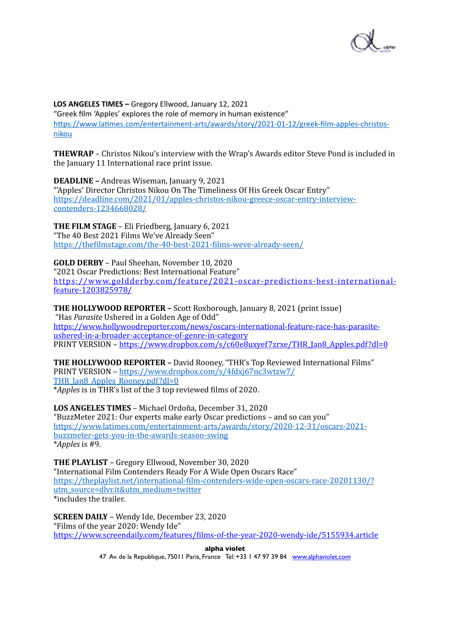

**LOS ANGELES TIMES –** Gregory Ellwood, January 12, 2021

"Greek film 'Apples' explores the role of memory in human existence" [https://www.latimes.com/entertainment-arts/awards/story/2021-01-12/greek-film-apples-christos](https://www.latimes.com/entertainment-arts/awards/story/2021-01-12/greek-film-apples-christos-nikou)[nikou](https://www.latimes.com/entertainment-arts/awards/story/2021-01-12/greek-film-apples-christos-nikou)

**THEWRAP** – Christos Nikou's interview with the Wrap's Awards editor Steve Pond is included in the January 11 International race print issue.

**DEADLINE** - Andreas Wiseman, January 9, 2021 "'Apples' Director Christos Nikou On The Timeliness Of His Greek Oscar Entry" [https://deadline.com/2021/01/apples-christos-nikou-greece-oscar-entry-interview](https://deadline.com/2021/01/apples-christos-nikou-greece-oscar-entry-interview-contenders-1234668028/)[contenders-1234668028/](https://deadline.com/2021/01/apples-christos-nikou-greece-oscar-entry-interview-contenders-1234668028/)

**THE FILM STAGE** – Eli Friedberg, January 6, 2021 "The 40 Best 2021 Films We've Already Seen" <https://thefilmstage.com/the-40-best-2021-films-weve-already-seen/>

**GOLD DERBY** – Paul Sheehan, November 10, 2020 "2021 Oscar Predictions: Best International Feature" [https://www.goldderby.com/ feature/2021 -oscar -predictions -best -international](https://www.goldderby.com/feature/2021-oscar-predictions-best-international-feature-1203825978/)  [feature-1203825978/](https://www.goldderby.com/feature/2021-oscar-predictions-best-international-feature-1203825978/)

**THE HOLLYWOOD REPORTER** – Scott Roxborough, January 8, 2021 (print issue) "Has *Parasite* Ushered in a Golden Age of Odd" [https://www.hollywoodreporter.com/news/oscars-international-feature-race-has-parasite](https://www.hollywoodreporter.com/news/oscars-international-feature-race-has-parasite-ushered-in-a-broader-acceptance-of-genre-in-category)[ushered-in-a-broader-acceptance-of-genre-in-category](https://www.hollywoodreporter.com/news/oscars-international-feature-race-has-parasite-ushered-in-a-broader-acceptance-of-genre-in-category) PRINT VERSION – [https://www.dropbox.com/s/c60e8uxyef7zrxe/THR\\_Jan8\\_Apples.pdf?dl=0](https://www.dropbox.com/s/c60e8uxyef7zrxe/THR_Jan8_Apples.pdf?dl=0)

**THE HOLLYWOOD REPORTER -** David Rooney, "THR's Top Reviewed International Films" [PRINT VERSION – https://www.dropbox.com/s/4fdxj67nc3wtzw7/](https://www.dropbox.com/s/4fdxj67nc3wtzw7/THR_Jan8_Apples_Rooney.pdf?dl=0) THR Jan8 Apples Rooney.pdf?dl=0 \**Apples* is in THR's list of the 3 top reviewed films of 2020.

**LOS ANGELES TIMES** – Michael Ordoña, December 31, 2020 "BuzzMeter 2021: Our experts make early Oscar predictions - and so can you" [https://www.latimes.com/entertainment-arts/awards/story/2020-12-31/oscars-2021](https://www.latimes.com/entertainment-arts/awards/story/2020-12-31/oscars-2021-buzzmeter-gets-you-in-the-awards-season-swing) [buzzmeter-gets-you-in-the-awards-season-swing](https://www.latimes.com/entertainment-arts/awards/story/2020-12-31/oscars-2021-buzzmeter-gets-you-in-the-awards-season-swing) \**Apples* is #9. 

**THE PLAYLIST** – Gregory Ellwood, November 30, 2020 "International Film Contenders Ready For A Wide Open Oscars Race" [https://theplaylist.net/international-film-contenders-wide-open-oscars-race-20201130/?](https://theplaylist.net/international-film-contenders-wide-open-oscars-race-20201130/?utm_source=dlvr.it&utm_medium=twitter) [utm\\_source=dlvr.it&utm\\_medium=twitter](https://theplaylist.net/international-film-contenders-wide-open-oscars-race-20201130/?utm_source=dlvr.it&utm_medium=twitter)  $\overline{\text{*}includes}$  the trailer.

**SCREEN DAILY** – Wendy Ide, December 23, 2020 "Films of the year  $2020$ : Wendy Ide" <https://www.screendaily.com/features/films-of-the-year-2020-wendy-ide/5155934.article>

**alpha violet**

47 Av. de la Republique, 75011 Paris, France Tel: +33 1 47 97 39 84 [www.alphaviolet.com](http://www.alphaviolet.com)